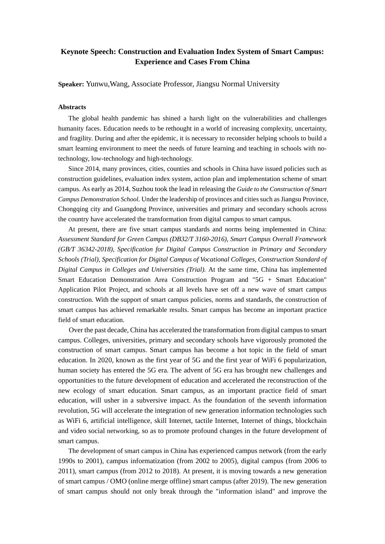## **Keynote Speech: Construction and Evaluation Index System of Smart Campus: Experience and Cases From China**

**Speaker:** Yunwu,Wang, Associate Professor, Jiangsu Normal University

## **Abstracts**

The global health pandemic has shined a harsh light on the vulnerabilities and challenges humanity faces. Education needs to be rethought in a world of increasing complexity, uncertainty, and fragility. During and after the epidemic, it is necessary to reconsider helping schools to build a smart learning environment to meet the needs of future learning and teaching in schools with notechnology, low-technology and high-technology.

Since 2014, many provinces, cities, counties and schools in China have issued policies such as construction guidelines, evaluation index system, action plan and implementation scheme of smart campus. As early as 2014, Suzhou took the lead in releasing the *Guide to the Construction of Smart Campus Demonstration School*. Under the leadership of provinces and cities such as Jiangsu Province, Chongqing city and Guangdong Province, universities and primary and secondary schools across the country have accelerated the transformation from digital campus to smart campus.

At present, there are five smart campus standards and norms being implemented in China: *Assessment Standard for Green Campus (DB32/T 3160-2016), Smart Campus Overall Framework (GB/T 36342-2018), Specification for Digital Campus Construction in Primary and Secondary Schools (Trial), Specification for Digital Campus of Vocational Colleges, Construction Standard of Digital Campus in Colleges and Universities (Trial).* At the same time, China has implemented Smart Education Demonstration Area Construction Program and "5G + Smart Education" Application Pilot Project, and schools at all levels have set off a new wave of smart campus construction. With the support of smart campus policies, norms and standards, the construction of smart campus has achieved remarkable results. Smart campus has become an important practice field of smart education.

Over the past decade, China has accelerated the transformation from digital campus to smart campus. Colleges, universities, primary and secondary schools have vigorously promoted the construction of smart campus. Smart campus has become a hot topic in the field of smart education. In 2020, known as the first year of 5G and the first year of WiFi 6 popularization, human society has entered the 5G era. The advent of 5G era has brought new challenges and opportunities to the future development of education and accelerated the reconstruction of the new ecology of smart education. Smart campus, as an important practice field of smart education, will usher in a subversive impact. As the foundation of the seventh information revolution, 5G will accelerate the integration of new generation information technologies such as WiFi 6, artificial intelligence, skill Internet, tactile Internet, Internet of things, blockchain and video social networking, so as to promote profound changes in the future development of smart campus.

The development of smart campus in China has experienced campus network (from the early 1990s to 2001), campus informatization (from 2002 to 2005), digital campus (from 2006 to 2011), smart campus (from 2012 to 2018). At present, it is moving towards a new generation of smart campus / OMO (online merge offline) smart campus (after 2019). The new generation of smart campus should not only break through the "information island" and improve the